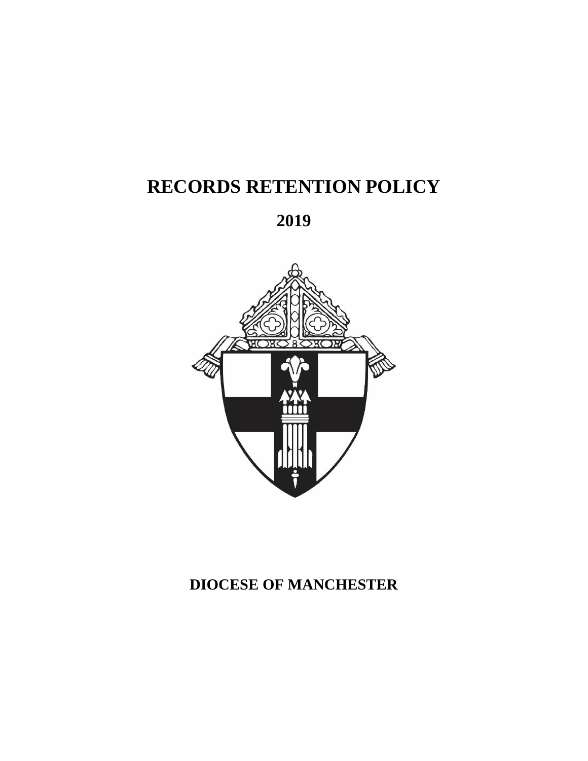# **RECORDS RETENTION POLICY**

**2019**



# **DIOCESE OF MANCHESTER**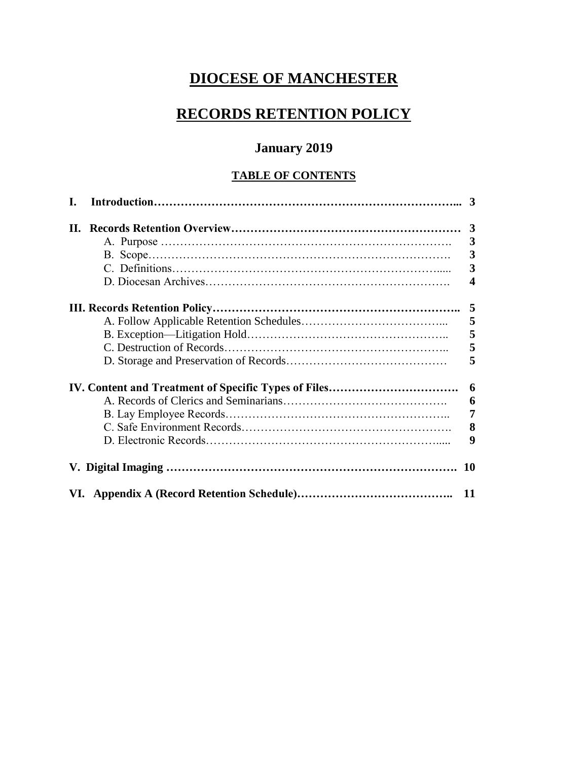# **DIOCESE OF MANCHESTER**

# **RECORDS RETENTION POLICY**

## **January 2019**

### **TABLE OF CONTENTS**

| I. |                         |
|----|-------------------------|
|    |                         |
|    | $\overline{3}$          |
|    | $\overline{\mathbf{3}}$ |
|    | $\overline{\mathbf{3}}$ |
|    | $\overline{\mathbf{4}}$ |
|    |                         |
|    | 5                       |
|    | 5                       |
|    | 5                       |
|    | 5                       |
|    | 6                       |
|    | 6                       |
|    | $\overline{7}$          |
|    | 8                       |
|    | 9                       |
|    |                         |
|    |                         |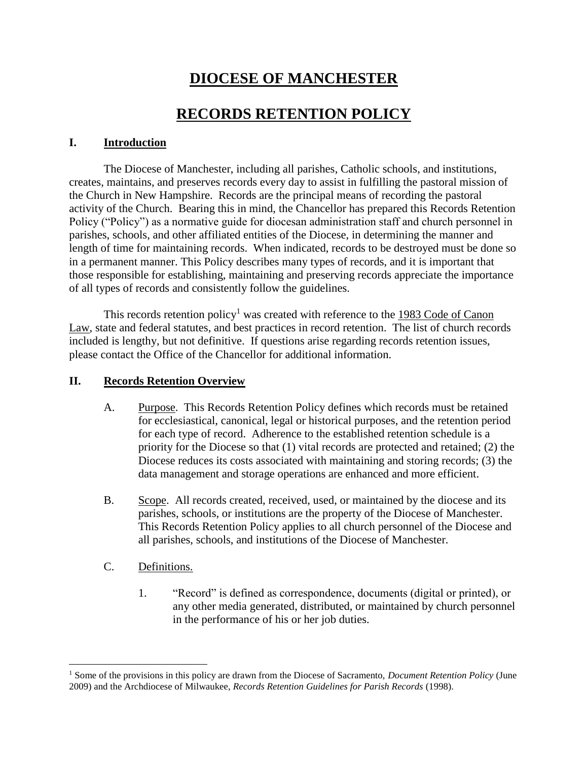# **DIOCESE OF MANCHESTER**

## **RECORDS RETENTION POLICY**

#### **I. Introduction**

The Diocese of Manchester, including all parishes, Catholic schools, and institutions, creates, maintains, and preserves records every day to assist in fulfilling the pastoral mission of the Church in New Hampshire. Records are the principal means of recording the pastoral activity of the Church. Bearing this in mind, the Chancellor has prepared this Records Retention Policy ("Policy") as a normative guide for diocesan administration staff and church personnel in parishes, schools, and other affiliated entities of the Diocese, in determining the manner and length of time for maintaining records. When indicated, records to be destroyed must be done so in a permanent manner. This Policy describes many types of records, and it is important that those responsible for establishing, maintaining and preserving records appreciate the importance of all types of records and consistently follow the guidelines.

This records retention policy<sup>1</sup> was created with reference to the 1983 Code of Canon Law, state and federal statutes, and best practices in record retention. The list of church records included is lengthy, but not definitive. If questions arise regarding records retention issues, please contact the Office of the Chancellor for additional information.

#### **II. Records Retention Overview**

- A. Purpose. This Records Retention Policy defines which records must be retained for ecclesiastical, canonical, legal or historical purposes, and the retention period for each type of record. Adherence to the established retention schedule is a priority for the Diocese so that (1) vital records are protected and retained; (2) the Diocese reduces its costs associated with maintaining and storing records; (3) the data management and storage operations are enhanced and more efficient.
- B. Scope. All records created, received, used, or maintained by the diocese and its parishes, schools, or institutions are the property of the Diocese of Manchester. This Records Retention Policy applies to all church personnel of the Diocese and all parishes, schools, and institutions of the Diocese of Manchester.
- C. Definitions.

 $\overline{a}$ 

1. "Record" is defined as correspondence, documents (digital or printed), or any other media generated, distributed, or maintained by church personnel in the performance of his or her job duties.

<sup>&</sup>lt;sup>1</sup> Some of the provisions in this policy are drawn from the Diocese of Sacramento, *Document Retention Policy* (June 2009) and the Archdiocese of Milwaukee, *Records Retention Guidelines for Parish Records* (1998).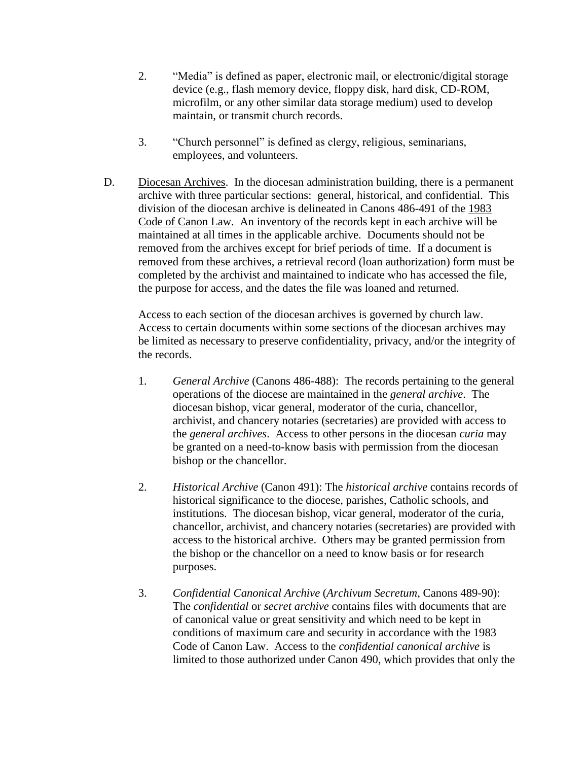- 2. "Media" is defined as paper, electronic mail, or electronic/digital storage device (e.g., flash memory device, floppy disk, hard disk, CD-ROM, microfilm, or any other similar data storage medium) used to develop maintain, or transmit church records.
- 3. "Church personnel" is defined as clergy, religious, seminarians, employees, and volunteers.
- D. Diocesan Archives. In the diocesan administration building, there is a permanent archive with three particular sections: general, historical, and confidential. This division of the diocesan archive is delineated in Canons 486-491 of the 1983 Code of Canon Law. An inventory of the records kept in each archive will be maintained at all times in the applicable archive. Documents should not be removed from the archives except for brief periods of time. If a document is removed from these archives, a retrieval record (loan authorization) form must be completed by the archivist and maintained to indicate who has accessed the file, the purpose for access, and the dates the file was loaned and returned.

Access to each section of the diocesan archives is governed by church law. Access to certain documents within some sections of the diocesan archives may be limited as necessary to preserve confidentiality, privacy, and/or the integrity of the records.

- 1. *General Archive* (Canons 486-488): The records pertaining to the general operations of the diocese are maintained in the *general archive*. The diocesan bishop, vicar general, moderator of the curia, chancellor, archivist, and chancery notaries (secretaries) are provided with access to the *general archives*. Access to other persons in the diocesan *curia* may be granted on a need-to-know basis with permission from the diocesan bishop or the chancellor.
- 2. *Historical Archive* (Canon 491): The *historical archive* contains records of historical significance to the diocese, parishes, Catholic schools, and institutions. The diocesan bishop, vicar general, moderator of the curia, chancellor, archivist, and chancery notaries (secretaries) are provided with access to the historical archive. Others may be granted permission from the bishop or the chancellor on a need to know basis or for research purposes.
- 3. *Confidential Canonical Archive* (*Archivum Secretum*, Canons 489-90): The *confidential* or *secret archive* contains files with documents that are of canonical value or great sensitivity and which need to be kept in conditions of maximum care and security in accordance with the 1983 Code of Canon Law. Access to the *confidential canonical archive* is limited to those authorized under Canon 490, which provides that only the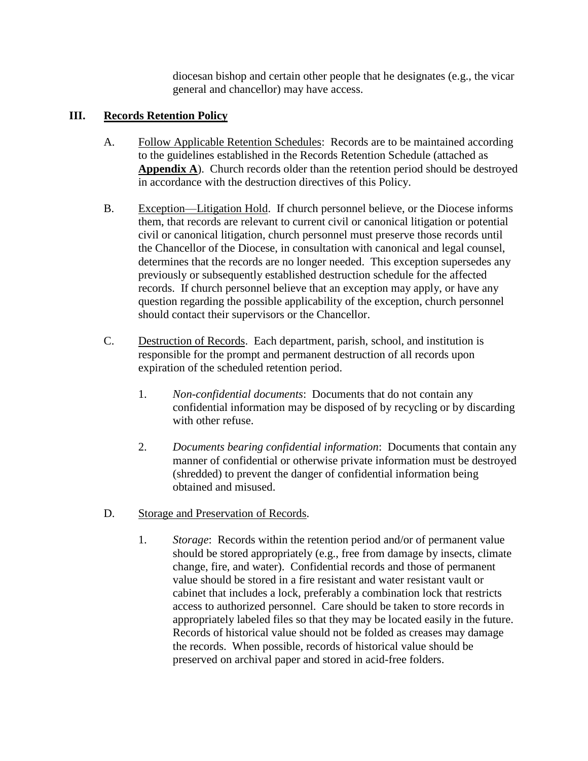diocesan bishop and certain other people that he designates (e.g., the vicar general and chancellor) may have access.

#### **III. Records Retention Policy**

- A. Follow Applicable Retention Schedules: Records are to be maintained according to the guidelines established in the Records Retention Schedule (attached as **Appendix A**). Church records older than the retention period should be destroyed in accordance with the destruction directives of this Policy.
- B. Exception—Litigation Hold. If church personnel believe, or the Diocese informs them, that records are relevant to current civil or canonical litigation or potential civil or canonical litigation, church personnel must preserve those records until the Chancellor of the Diocese, in consultation with canonical and legal counsel, determines that the records are no longer needed. This exception supersedes any previously or subsequently established destruction schedule for the affected records. If church personnel believe that an exception may apply, or have any question regarding the possible applicability of the exception, church personnel should contact their supervisors or the Chancellor.
- C. Destruction of Records. Each department, parish, school, and institution is responsible for the prompt and permanent destruction of all records upon expiration of the scheduled retention period.
	- 1. *Non-confidential documents*: Documents that do not contain any confidential information may be disposed of by recycling or by discarding with other refuse.
	- 2. *Documents bearing confidential information*: Documents that contain any manner of confidential or otherwise private information must be destroyed (shredded) to prevent the danger of confidential information being obtained and misused.
- D. Storage and Preservation of Records.
	- 1. *Storage*: Records within the retention period and/or of permanent value should be stored appropriately (e.g., free from damage by insects, climate change, fire, and water). Confidential records and those of permanent value should be stored in a fire resistant and water resistant vault or cabinet that includes a lock, preferably a combination lock that restricts access to authorized personnel. Care should be taken to store records in appropriately labeled files so that they may be located easily in the future. Records of historical value should not be folded as creases may damage the records. When possible, records of historical value should be preserved on archival paper and stored in acid-free folders.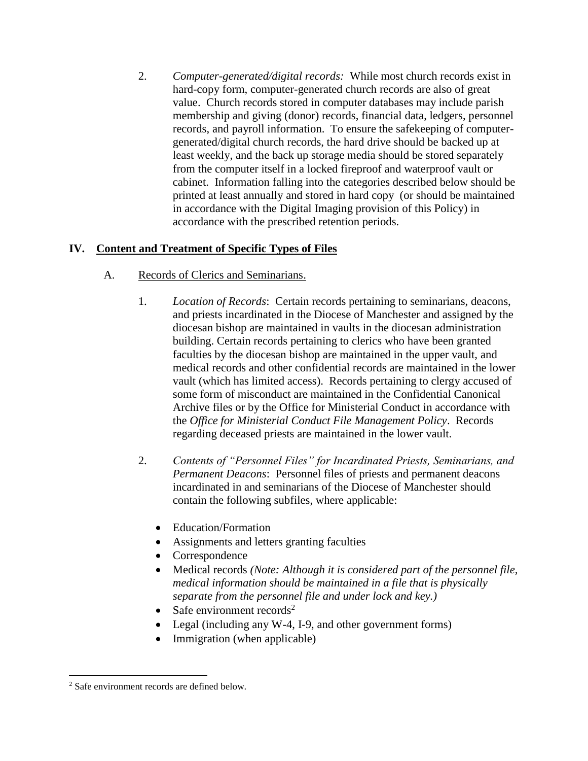2. *Computer-generated/digital records:* While most church records exist in hard-copy form, computer-generated church records are also of great value. Church records stored in computer databases may include parish membership and giving (donor) records, financial data, ledgers, personnel records, and payroll information. To ensure the safekeeping of computergenerated/digital church records, the hard drive should be backed up at least weekly, and the back up storage media should be stored separately from the computer itself in a locked fireproof and waterproof vault or cabinet. Information falling into the categories described below should be printed at least annually and stored in hard copy (or should be maintained in accordance with the Digital Imaging provision of this Policy) in accordance with the prescribed retention periods.

### **IV. Content and Treatment of Specific Types of Files**

- A. Records of Clerics and Seminarians.
	- 1. *Location of Records*: Certain records pertaining to seminarians, deacons, and priests incardinated in the Diocese of Manchester and assigned by the diocesan bishop are maintained in vaults in the diocesan administration building. Certain records pertaining to clerics who have been granted faculties by the diocesan bishop are maintained in the upper vault, and medical records and other confidential records are maintained in the lower vault (which has limited access). Records pertaining to clergy accused of some form of misconduct are maintained in the Confidential Canonical Archive files or by the Office for Ministerial Conduct in accordance with the *Office for Ministerial Conduct File Management Policy*. Records regarding deceased priests are maintained in the lower vault.
	- 2. *Contents of "Personnel Files" for Incardinated Priests, Seminarians, and Permanent Deacons*: Personnel files of priests and permanent deacons incardinated in and seminarians of the Diocese of Manchester should contain the following subfiles, where applicable:
		- Education/Formation
		- Assignments and letters granting faculties
		- Correspondence
		- Medical records *(Note: Although it is considered part of the personnel file, medical information should be maintained in a file that is physically separate from the personnel file and under lock and key.)*
		- Safe environment records<sup>2</sup>
		- Legal (including any W-4, I-9, and other government forms)
		- Immigration (when applicable)

 $\overline{a}$ 

<sup>2</sup> Safe environment records are defined below.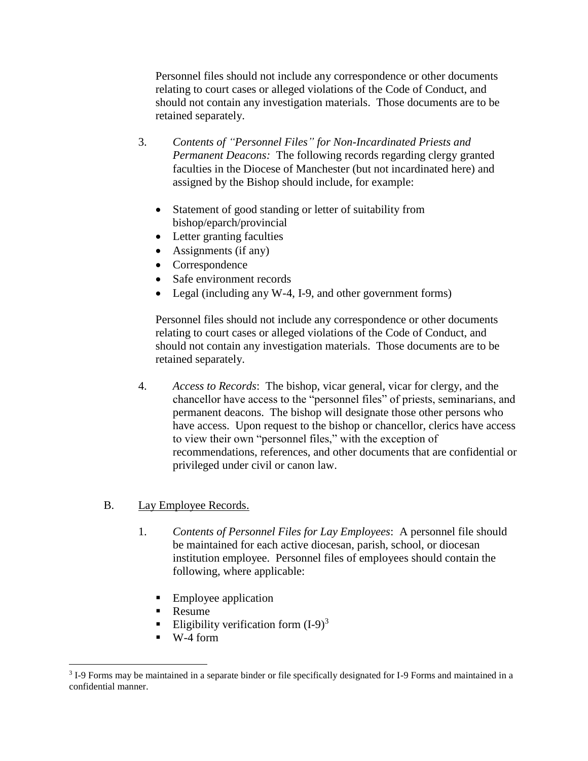Personnel files should not include any correspondence or other documents relating to court cases or alleged violations of the Code of Conduct, and should not contain any investigation materials. Those documents are to be retained separately.

- 3. *Contents of "Personnel Files" for Non-Incardinated Priests and Permanent Deacons:* The following records regarding clergy granted faculties in the Diocese of Manchester (but not incardinated here) and assigned by the Bishop should include, for example:
	- Statement of good standing or letter of suitability from bishop/eparch/provincial
	- Letter granting faculties
	- Assignments (if any)
	- Correspondence
	- Safe environment records
	- Legal (including any W-4, I-9, and other government forms)

Personnel files should not include any correspondence or other documents relating to court cases or alleged violations of the Code of Conduct, and should not contain any investigation materials. Those documents are to be retained separately.

4. *Access to Records*: The bishop, vicar general, vicar for clergy, and the chancellor have access to the "personnel files" of priests, seminarians, and permanent deacons. The bishop will designate those other persons who have access. Upon request to the bishop or chancellor, clerics have access to view their own "personnel files," with the exception of recommendations, references, and other documents that are confidential or privileged under civil or canon law.

#### B. Lay Employee Records.

- 1. *Contents of Personnel Files for Lay Employees*: A personnel file should be maintained for each active diocesan, parish, school, or diocesan institution employee. Personnel files of employees should contain the following, where applicable:
	- Employee application
	- Resume
	- Eligibility verification form  $(I-9)^3$
	- W-4 form

 $\overline{a}$ 

<sup>&</sup>lt;sup>3</sup> I-9 Forms may be maintained in a separate binder or file specifically designated for I-9 Forms and maintained in a confidential manner.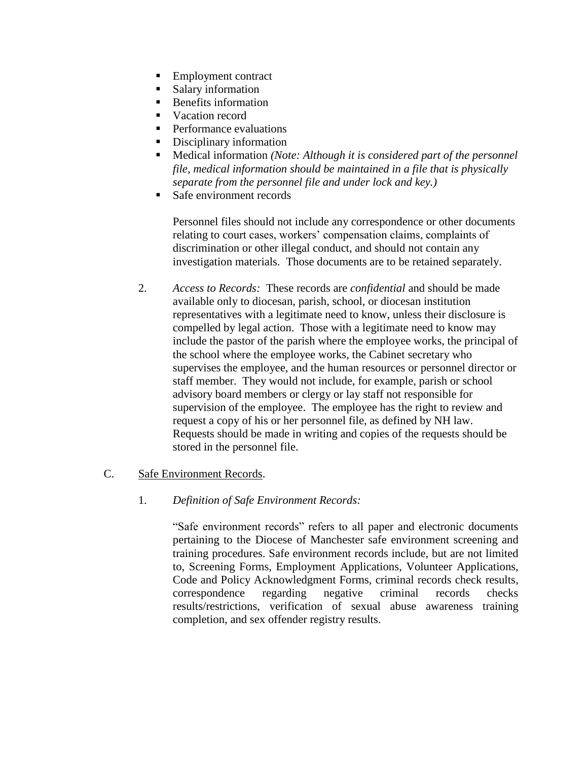- Employment contract
- Salary information
- Benefits information
- Vacation record
- **Performance evaluations**
- Disciplinary information
- Medical information *(Note: Although it is considered part of the personnel file, medical information should be maintained in a file that is physically separate from the personnel file and under lock and key.)*
- Safe environment records

Personnel files should not include any correspondence or other documents relating to court cases, workers' compensation claims, complaints of discrimination or other illegal conduct, and should not contain any investigation materials. Those documents are to be retained separately.

2. *Access to Records:* These records are *confidential* and should be made available only to diocesan, parish, school, or diocesan institution representatives with a legitimate need to know, unless their disclosure is compelled by legal action. Those with a legitimate need to know may include the pastor of the parish where the employee works, the principal of the school where the employee works, the Cabinet secretary who supervises the employee, and the human resources or personnel director or staff member. They would not include, for example, parish or school advisory board members or clergy or lay staff not responsible for supervision of the employee. The employee has the right to review and request a copy of his or her personnel file, as defined by NH law. Requests should be made in writing and copies of the requests should be stored in the personnel file.

#### C. Safe Environment Records.

#### 1. *Definition of Safe Environment Records:*

"Safe environment records" refers to all paper and electronic documents pertaining to the Diocese of Manchester safe environment screening and training procedures. Safe environment records include, but are not limited to, Screening Forms, Employment Applications, Volunteer Applications, Code and Policy Acknowledgment Forms, criminal records check results, correspondence regarding negative criminal records checks results/restrictions, verification of sexual abuse awareness training completion, and sex offender registry results.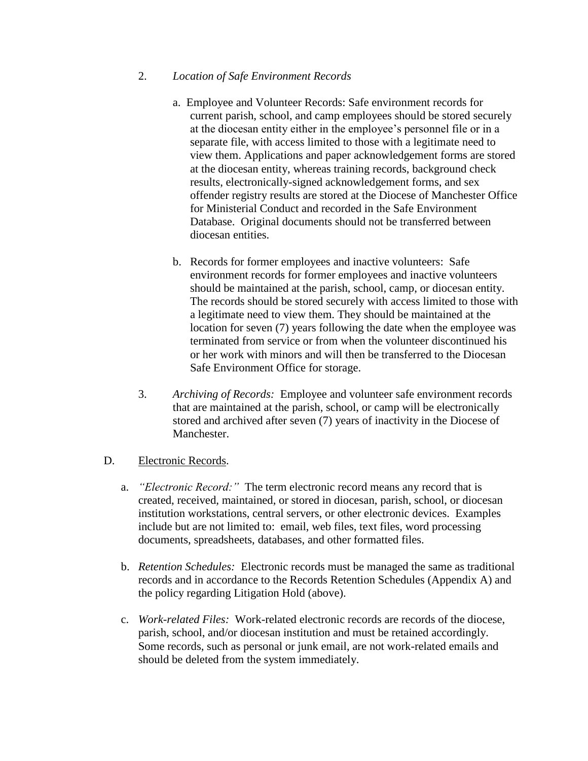#### 2. *Location of Safe Environment Records*

- a. Employee and Volunteer Records: Safe environment records for current parish, school, and camp employees should be stored securely at the diocesan entity either in the employee's personnel file or in a separate file, with access limited to those with a legitimate need to view them. Applications and paper acknowledgement forms are stored at the diocesan entity, whereas training records, background check results, electronically-signed acknowledgement forms, and sex offender registry results are stored at the Diocese of Manchester Office for Ministerial Conduct and recorded in the Safe Environment Database. Original documents should not be transferred between diocesan entities.
- b. Records for former employees and inactive volunteers: Safe environment records for former employees and inactive volunteers should be maintained at the parish, school, camp, or diocesan entity. The records should be stored securely with access limited to those with a legitimate need to view them. They should be maintained at the location for seven (7) years following the date when the employee was terminated from service or from when the volunteer discontinued his or her work with minors and will then be transferred to the Diocesan Safe Environment Office for storage.
- 3. *Archiving of Records:* Employee and volunteer safe environment records that are maintained at the parish, school, or camp will be electronically stored and archived after seven (7) years of inactivity in the Diocese of Manchester.

#### D. Electronic Records.

- a. *"Electronic Record:"* The term electronic record means any record that is created, received, maintained, or stored in diocesan, parish, school, or diocesan institution workstations, central servers, or other electronic devices. Examples include but are not limited to: email, web files, text files, word processing documents, spreadsheets, databases, and other formatted files.
- b. *Retention Schedules:* Electronic records must be managed the same as traditional records and in accordance to the Records Retention Schedules (Appendix A) and the policy regarding Litigation Hold (above).
- c. *Work-related Files:* Work-related electronic records are records of the diocese, parish, school, and/or diocesan institution and must be retained accordingly. Some records, such as personal or junk email, are not work-related emails and should be deleted from the system immediately.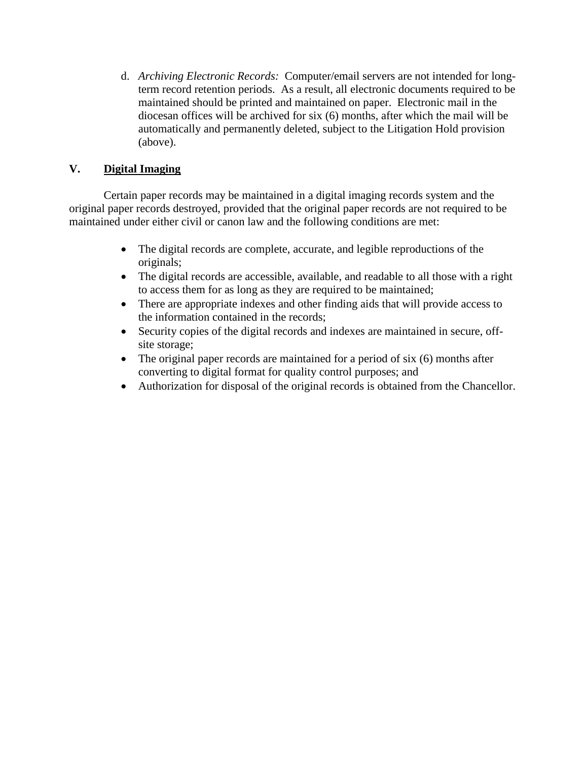d. *Archiving Electronic Records:* Computer/email servers are not intended for longterm record retention periods. As a result, all electronic documents required to be maintained should be printed and maintained on paper. Electronic mail in the diocesan offices will be archived for six (6) months, after which the mail will be automatically and permanently deleted, subject to the Litigation Hold provision (above).

### **V. Digital Imaging**

Certain paper records may be maintained in a digital imaging records system and the original paper records destroyed, provided that the original paper records are not required to be maintained under either civil or canon law and the following conditions are met:

- The digital records are complete, accurate, and legible reproductions of the originals;
- The digital records are accessible, available, and readable to all those with a right to access them for as long as they are required to be maintained;
- There are appropriate indexes and other finding aids that will provide access to the information contained in the records;
- Security copies of the digital records and indexes are maintained in secure, offsite storage;
- The original paper records are maintained for a period of six (6) months after converting to digital format for quality control purposes; and
- Authorization for disposal of the original records is obtained from the Chancellor.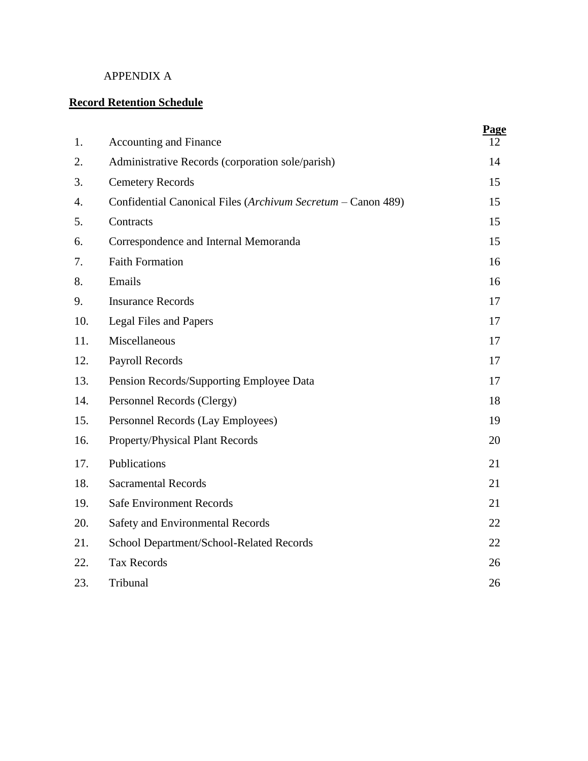### APPENDIX A

### **Record Retention Schedule**

| 1.  | Accounting and Finance                                       | Page<br>12 |
|-----|--------------------------------------------------------------|------------|
| 2.  | Administrative Records (corporation sole/parish)             | 14         |
| 3.  | <b>Cemetery Records</b>                                      | 15         |
| 4.  | Confidential Canonical Files (Archivum Secretum - Canon 489) | 15         |
| 5.  | Contracts                                                    | 15         |
| 6.  | Correspondence and Internal Memoranda                        | 15         |
| 7.  | <b>Faith Formation</b>                                       | 16         |
| 8.  | Emails                                                       | 16         |
| 9.  | <b>Insurance Records</b>                                     | 17         |
| 10. | Legal Files and Papers                                       | 17         |
| 11. | Miscellaneous                                                | 17         |
| 12. | Payroll Records                                              | 17         |
| 13. | Pension Records/Supporting Employee Data                     | 17         |
| 14. | Personnel Records (Clergy)                                   | 18         |
| 15. | Personnel Records (Lay Employees)                            | 19         |
| 16. | Property/Physical Plant Records                              | 20         |
| 17. | Publications                                                 | 21         |
| 18. | <b>Sacramental Records</b>                                   | 21         |
| 19. | <b>Safe Environment Records</b>                              | 21         |
| 20. | Safety and Environmental Records                             | 22         |
| 21. | School Department/School-Related Records                     | 22         |
| 22. | <b>Tax Records</b>                                           | 26         |
| 23. | Tribunal                                                     | 26         |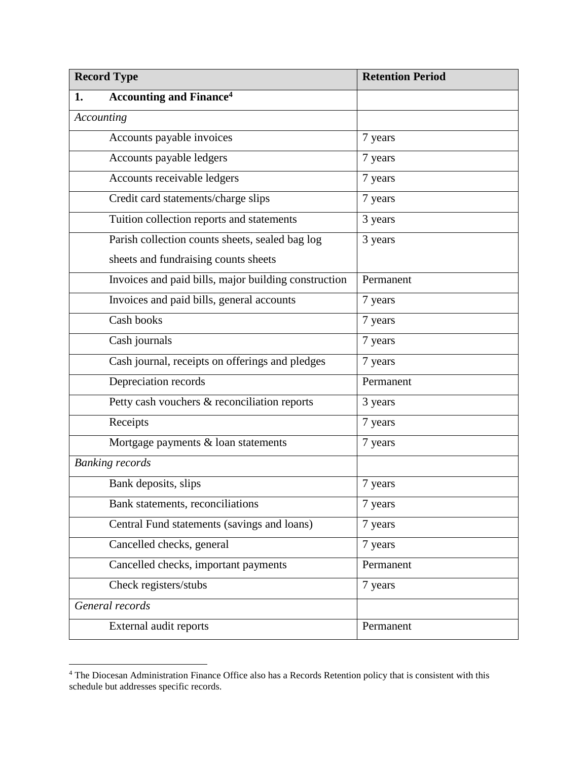| <b>Record Type</b> |                                                      | <b>Retention Period</b> |
|--------------------|------------------------------------------------------|-------------------------|
| 1.                 | <b>Accounting and Finance<sup>4</sup></b>            |                         |
|                    | Accounting                                           |                         |
|                    | Accounts payable invoices                            | 7 years                 |
|                    | Accounts payable ledgers                             | 7 years                 |
|                    | Accounts receivable ledgers                          | 7 years                 |
|                    | Credit card statements/charge slips                  | 7 years                 |
|                    | Tuition collection reports and statements            | 3 years                 |
|                    | Parish collection counts sheets, sealed bag log      | 3 years                 |
|                    | sheets and fundraising counts sheets                 |                         |
|                    | Invoices and paid bills, major building construction | Permanent               |
|                    | Invoices and paid bills, general accounts            | 7 years                 |
|                    | Cash books                                           | 7 years                 |
|                    | Cash journals                                        | 7 years                 |
|                    | Cash journal, receipts on offerings and pledges      | 7 years                 |
|                    | Depreciation records                                 | Permanent               |
|                    | Petty cash vouchers & reconciliation reports         | 3 years                 |
|                    | Receipts                                             | 7 years                 |
|                    | Mortgage payments & loan statements                  | 7 years                 |
|                    | <b>Banking records</b>                               |                         |
|                    | Bank deposits, slips                                 | 7 years                 |
|                    | Bank statements, reconciliations                     | 7 years                 |
|                    | Central Fund statements (savings and loans)          | 7 years                 |
|                    | Cancelled checks, general                            | 7 years                 |
|                    | Cancelled checks, important payments                 | Permanent               |
|                    | Check registers/stubs                                | 7 years                 |
|                    | General records                                      |                         |
|                    | External audit reports                               | Permanent               |

<sup>&</sup>lt;sup>4</sup> The Diocesan Administration Finance Office also has a Records Retention policy that is consistent with this schedule but addresses specific records.

 $\overline{a}$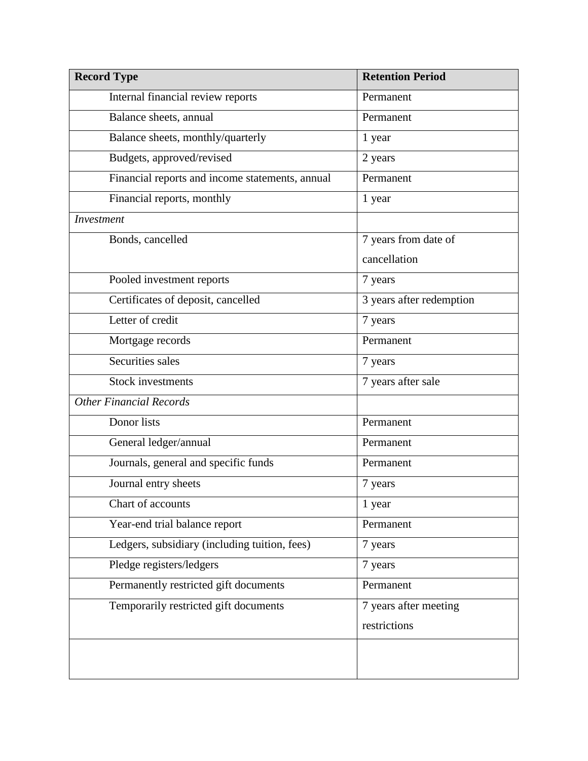| <b>Record Type</b>                              | <b>Retention Period</b>  |
|-------------------------------------------------|--------------------------|
| Internal financial review reports               | Permanent                |
| Balance sheets, annual                          | Permanent                |
| Balance sheets, monthly/quarterly               | 1 year                   |
| Budgets, approved/revised                       | 2 years                  |
| Financial reports and income statements, annual | Permanent                |
| Financial reports, monthly                      | 1 year                   |
| Investment                                      |                          |
| Bonds, cancelled                                | 7 years from date of     |
|                                                 | cancellation             |
| Pooled investment reports                       | 7 years                  |
| Certificates of deposit, cancelled              | 3 years after redemption |
| Letter of credit                                | 7 years                  |
| Mortgage records                                | Permanent                |
| Securities sales                                | 7 years                  |
| <b>Stock investments</b>                        | 7 years after sale       |
| <b>Other Financial Records</b>                  |                          |
| Donor lists                                     | Permanent                |
| General ledger/annual                           | Permanent                |
| Journals, general and specific funds            | Permanent                |
| Journal entry sheets                            | 7 years                  |
| Chart of accounts                               | 1 year                   |
| Year-end trial balance report                   | Permanent                |
| Ledgers, subsidiary (including tuition, fees)   | 7 years                  |
| Pledge registers/ledgers                        | 7 years                  |
| Permanently restricted gift documents           | Permanent                |
| Temporarily restricted gift documents           | 7 years after meeting    |
|                                                 | restrictions             |
|                                                 |                          |
|                                                 |                          |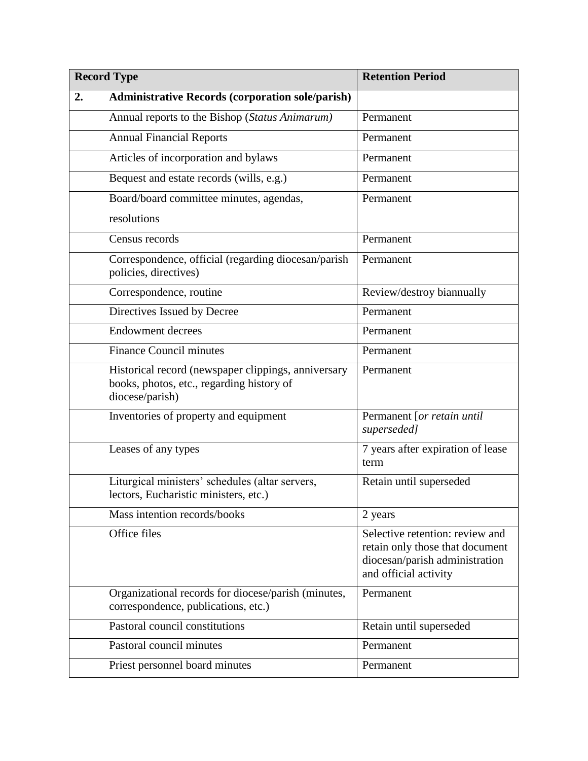| <b>Record Type</b> |                                                                                                                     | <b>Retention Period</b>                                                                                                       |
|--------------------|---------------------------------------------------------------------------------------------------------------------|-------------------------------------------------------------------------------------------------------------------------------|
| 2.                 | <b>Administrative Records (corporation sole/parish)</b>                                                             |                                                                                                                               |
|                    | Annual reports to the Bishop (Status Animarum)                                                                      | Permanent                                                                                                                     |
|                    | <b>Annual Financial Reports</b>                                                                                     | Permanent                                                                                                                     |
|                    | Articles of incorporation and bylaws                                                                                | Permanent                                                                                                                     |
|                    | Bequest and estate records (wills, e.g.)                                                                            | Permanent                                                                                                                     |
|                    | Board/board committee minutes, agendas,                                                                             | Permanent                                                                                                                     |
|                    | resolutions                                                                                                         |                                                                                                                               |
|                    | Census records                                                                                                      | Permanent                                                                                                                     |
|                    | Correspondence, official (regarding diocesan/parish<br>policies, directives)                                        | Permanent                                                                                                                     |
|                    | Correspondence, routine                                                                                             | Review/destroy biannually                                                                                                     |
|                    | Directives Issued by Decree                                                                                         | Permanent                                                                                                                     |
|                    | <b>Endowment decrees</b>                                                                                            | Permanent                                                                                                                     |
|                    | <b>Finance Council minutes</b>                                                                                      | Permanent                                                                                                                     |
|                    | Historical record (newspaper clippings, anniversary<br>books, photos, etc., regarding history of<br>diocese/parish) | Permanent                                                                                                                     |
|                    | Inventories of property and equipment                                                                               | Permanent [or retain until<br>superseded]                                                                                     |
|                    | Leases of any types                                                                                                 | 7 years after expiration of lease<br>term                                                                                     |
|                    | Liturgical ministers' schedules (altar servers,<br>lectors, Eucharistic ministers, etc.)                            | Retain until superseded                                                                                                       |
|                    | Mass intention records/books                                                                                        | 2 years                                                                                                                       |
|                    | Office files                                                                                                        | Selective retention: review and<br>retain only those that document<br>diocesan/parish administration<br>and official activity |
|                    | Organizational records for diocese/parish (minutes,<br>correspondence, publications, etc.)                          | Permanent                                                                                                                     |
|                    | Pastoral council constitutions                                                                                      | Retain until superseded                                                                                                       |
|                    | Pastoral council minutes                                                                                            | Permanent                                                                                                                     |
|                    | Priest personnel board minutes                                                                                      | Permanent                                                                                                                     |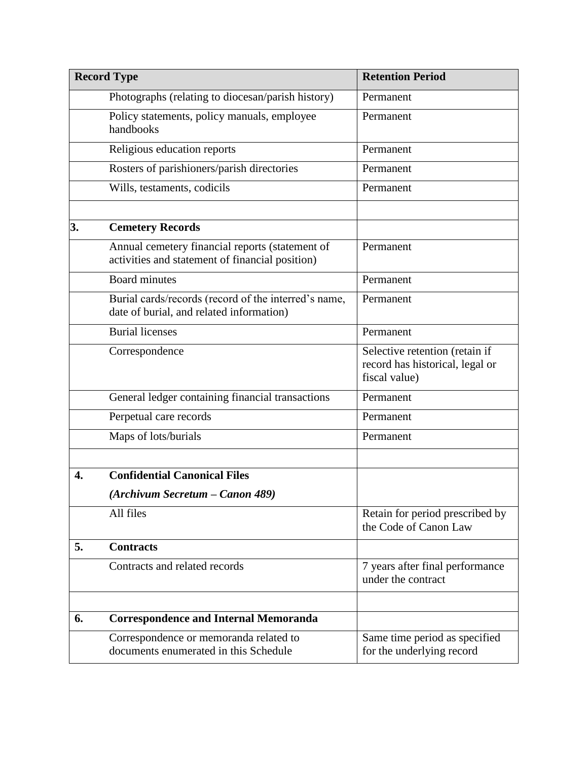| <b>Record Type</b> |                                                                                                    | <b>Retention Period</b>                                                            |
|--------------------|----------------------------------------------------------------------------------------------------|------------------------------------------------------------------------------------|
|                    | Photographs (relating to diocesan/parish history)                                                  | Permanent                                                                          |
|                    | Policy statements, policy manuals, employee<br>handbooks                                           | Permanent                                                                          |
|                    | Religious education reports                                                                        | Permanent                                                                          |
|                    | Rosters of parishioners/parish directories                                                         | Permanent                                                                          |
|                    | Wills, testaments, codicils                                                                        | Permanent                                                                          |
|                    |                                                                                                    |                                                                                    |
| 3.                 | <b>Cemetery Records</b>                                                                            |                                                                                    |
|                    | Annual cemetery financial reports (statement of<br>activities and statement of financial position) | Permanent                                                                          |
|                    | <b>Board minutes</b>                                                                               | Permanent                                                                          |
|                    | Burial cards/records (record of the interred's name,<br>date of burial, and related information)   | Permanent                                                                          |
|                    | <b>Burial licenses</b>                                                                             | Permanent                                                                          |
|                    | Correspondence                                                                                     | Selective retention (retain if<br>record has historical, legal or<br>fiscal value) |
|                    | General ledger containing financial transactions                                                   | Permanent                                                                          |
|                    | Perpetual care records                                                                             | Permanent                                                                          |
|                    | Maps of lots/burials                                                                               | Permanent                                                                          |
|                    |                                                                                                    |                                                                                    |
| 4.                 | <b>Confidential Canonical Files</b>                                                                |                                                                                    |
|                    | (Archivum Secretum – Canon 489)                                                                    |                                                                                    |
|                    | All files                                                                                          | Retain for period prescribed by<br>the Code of Canon Law                           |
| 5.                 | <b>Contracts</b>                                                                                   |                                                                                    |
|                    | Contracts and related records                                                                      | 7 years after final performance<br>under the contract                              |
|                    |                                                                                                    |                                                                                    |
| 6.                 | <b>Correspondence and Internal Memoranda</b>                                                       |                                                                                    |
|                    | Correspondence or memoranda related to<br>documents enumerated in this Schedule                    | Same time period as specified<br>for the underlying record                         |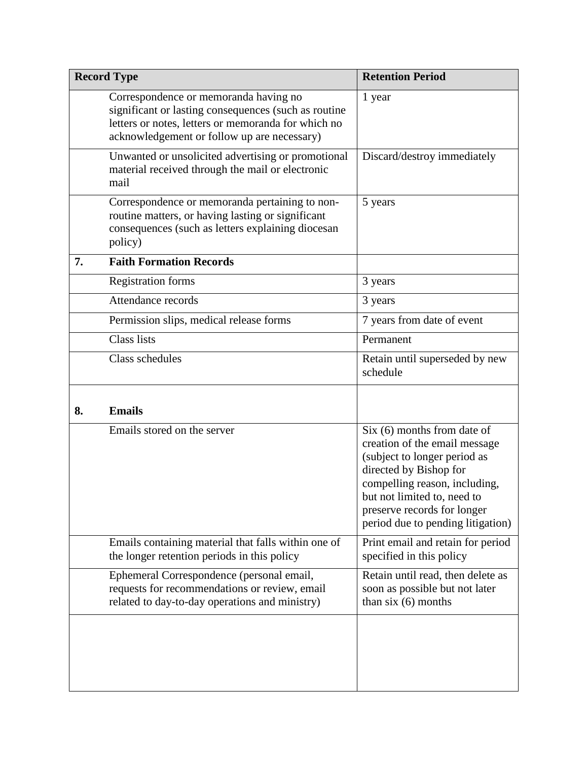| <b>Record Type</b> |                                                                                                                                                                                                     | <b>Retention Period</b>                                                                                                                                                                                                                                      |
|--------------------|-----------------------------------------------------------------------------------------------------------------------------------------------------------------------------------------------------|--------------------------------------------------------------------------------------------------------------------------------------------------------------------------------------------------------------------------------------------------------------|
|                    | Correspondence or memoranda having no<br>significant or lasting consequences (such as routine<br>letters or notes, letters or memoranda for which no<br>acknowledgement or follow up are necessary) | 1 year                                                                                                                                                                                                                                                       |
|                    | Unwanted or unsolicited advertising or promotional<br>material received through the mail or electronic<br>mail                                                                                      | Discard/destroy immediately                                                                                                                                                                                                                                  |
|                    | Correspondence or memoranda pertaining to non-<br>routine matters, or having lasting or significant<br>consequences (such as letters explaining diocesan<br>policy)                                 | 5 years                                                                                                                                                                                                                                                      |
| 7.                 | <b>Faith Formation Records</b>                                                                                                                                                                      |                                                                                                                                                                                                                                                              |
|                    | Registration forms                                                                                                                                                                                  | 3 years                                                                                                                                                                                                                                                      |
|                    | Attendance records                                                                                                                                                                                  | 3 years                                                                                                                                                                                                                                                      |
|                    | Permission slips, medical release forms                                                                                                                                                             | 7 years from date of event                                                                                                                                                                                                                                   |
|                    | <b>Class lists</b>                                                                                                                                                                                  | Permanent                                                                                                                                                                                                                                                    |
|                    | Class schedules                                                                                                                                                                                     | Retain until superseded by new<br>schedule                                                                                                                                                                                                                   |
| 8.                 | <b>Emails</b>                                                                                                                                                                                       |                                                                                                                                                                                                                                                              |
|                    | Emails stored on the server                                                                                                                                                                         | $Six (6)$ months from date of<br>creation of the email message<br>(subject to longer period as<br>directed by Bishop for<br>compelling reason, including,<br>but not limited to, need to<br>preserve records for longer<br>period due to pending litigation) |
|                    | Emails containing material that falls within one of<br>the longer retention periods in this policy                                                                                                  | Print email and retain for period<br>specified in this policy                                                                                                                                                                                                |
|                    | Ephemeral Correspondence (personal email,<br>requests for recommendations or review, email<br>related to day-to-day operations and ministry)                                                        | Retain until read, then delete as<br>soon as possible but not later<br>than $six(6)$ months                                                                                                                                                                  |
|                    |                                                                                                                                                                                                     |                                                                                                                                                                                                                                                              |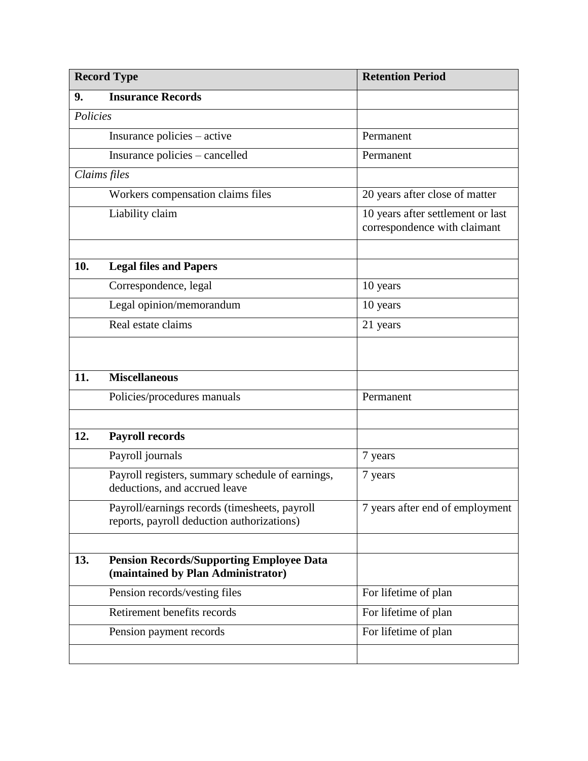| <b>Record Type</b> |                                                                                             | <b>Retention Period</b>                                           |
|--------------------|---------------------------------------------------------------------------------------------|-------------------------------------------------------------------|
| 9.                 | <b>Insurance Records</b>                                                                    |                                                                   |
| Policies           |                                                                                             |                                                                   |
|                    | Insurance policies – active                                                                 | Permanent                                                         |
|                    | Insurance policies - cancelled                                                              | Permanent                                                         |
|                    | Claims files                                                                                |                                                                   |
|                    | Workers compensation claims files                                                           | 20 years after close of matter                                    |
|                    | Liability claim                                                                             | 10 years after settlement or last<br>correspondence with claimant |
| 10.                | <b>Legal files and Papers</b>                                                               |                                                                   |
|                    | Correspondence, legal                                                                       | 10 years                                                          |
|                    | Legal opinion/memorandum                                                                    | 10 years                                                          |
|                    | Real estate claims                                                                          | 21 years                                                          |
|                    |                                                                                             |                                                                   |
| 11.                | <b>Miscellaneous</b>                                                                        |                                                                   |
|                    | Policies/procedures manuals                                                                 | Permanent                                                         |
|                    |                                                                                             |                                                                   |
| 12.                | <b>Payroll records</b>                                                                      |                                                                   |
|                    | Payroll journals                                                                            | 7 years                                                           |
|                    | Payroll registers, summary schedule of earnings,<br>deductions, and accrued leave           | 7 years                                                           |
|                    | Payroll/earnings records (timesheets, payroll<br>reports, payroll deduction authorizations) | 7 years after end of employment                                   |
|                    |                                                                                             |                                                                   |
| 13.                | <b>Pension Records/Supporting Employee Data</b><br>(maintained by Plan Administrator)       |                                                                   |
|                    | Pension records/vesting files                                                               | For lifetime of plan                                              |
|                    | Retirement benefits records                                                                 | For lifetime of plan                                              |
|                    | Pension payment records                                                                     | For lifetime of plan                                              |
|                    |                                                                                             |                                                                   |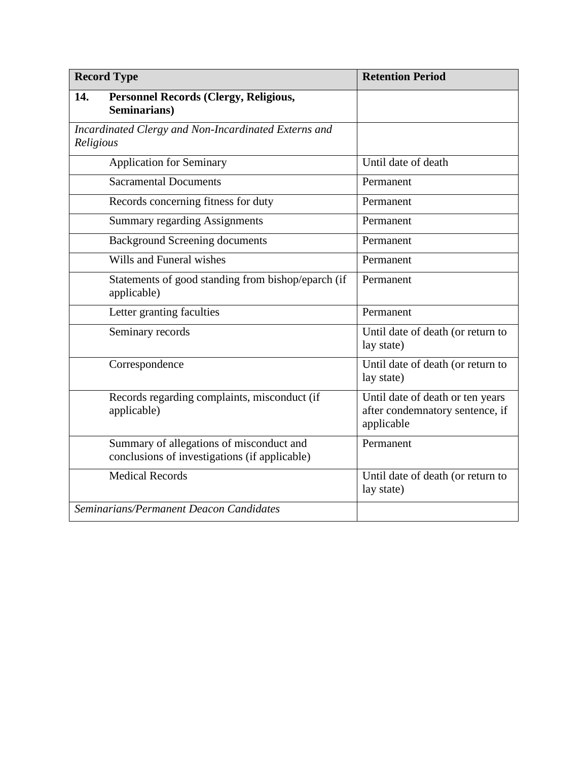| <b>Record Type</b>                                                                        | <b>Retention Period</b>                                                           |
|-------------------------------------------------------------------------------------------|-----------------------------------------------------------------------------------|
| 14.<br>Personnel Records (Clergy, Religious,<br>Seminarians)                              |                                                                                   |
| Incardinated Clergy and Non-Incardinated Externs and<br>Religious                         |                                                                                   |
| <b>Application for Seminary</b>                                                           | Until date of death                                                               |
| <b>Sacramental Documents</b>                                                              | Permanent                                                                         |
| Records concerning fitness for duty                                                       | Permanent                                                                         |
| <b>Summary regarding Assignments</b>                                                      | Permanent                                                                         |
| <b>Background Screening documents</b>                                                     | Permanent                                                                         |
| Wills and Funeral wishes                                                                  | Permanent                                                                         |
| Statements of good standing from bishop/eparch (if<br>applicable)                         | Permanent                                                                         |
| Letter granting faculties                                                                 | Permanent                                                                         |
| Seminary records                                                                          | Until date of death (or return to<br>lay state)                                   |
| Correspondence                                                                            | Until date of death (or return to<br>lay state)                                   |
| Records regarding complaints, misconduct (if<br>applicable)                               | Until date of death or ten years<br>after condemnatory sentence, if<br>applicable |
| Summary of allegations of misconduct and<br>conclusions of investigations (if applicable) | Permanent                                                                         |
| <b>Medical Records</b>                                                                    | Until date of death (or return to<br>lay state)                                   |
| Seminarians/Permanent Deacon Candidates                                                   |                                                                                   |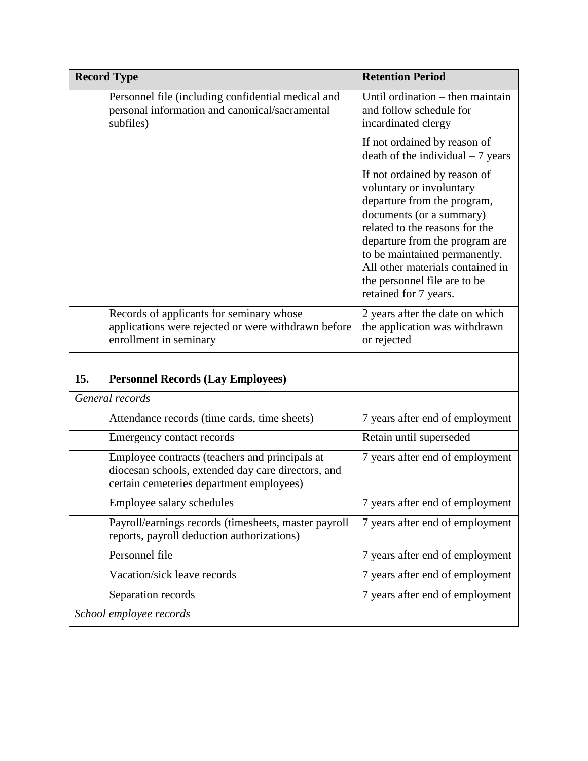| <b>Record Type</b>                                                                                                                               | <b>Retention Period</b>                                                                                                                                                                                                                                                                                               |
|--------------------------------------------------------------------------------------------------------------------------------------------------|-----------------------------------------------------------------------------------------------------------------------------------------------------------------------------------------------------------------------------------------------------------------------------------------------------------------------|
| Personnel file (including confidential medical and<br>personal information and canonical/sacramental<br>subfiles)                                | Until ordination $-$ then maintain<br>and follow schedule for<br>incardinated clergy                                                                                                                                                                                                                                  |
|                                                                                                                                                  | If not ordained by reason of<br>$death$ of the individual $-7$ years                                                                                                                                                                                                                                                  |
|                                                                                                                                                  | If not ordained by reason of<br>voluntary or involuntary<br>departure from the program,<br>documents (or a summary)<br>related to the reasons for the<br>departure from the program are<br>to be maintained permanently.<br>All other materials contained in<br>the personnel file are to be<br>retained for 7 years. |
| Records of applicants for seminary whose<br>applications were rejected or were withdrawn before<br>enrollment in seminary                        | 2 years after the date on which<br>the application was withdrawn<br>or rejected                                                                                                                                                                                                                                       |
|                                                                                                                                                  |                                                                                                                                                                                                                                                                                                                       |
| 15.<br><b>Personnel Records (Lay Employees)</b>                                                                                                  |                                                                                                                                                                                                                                                                                                                       |
| General records                                                                                                                                  |                                                                                                                                                                                                                                                                                                                       |
| Attendance records (time cards, time sheets)                                                                                                     | 7 years after end of employment                                                                                                                                                                                                                                                                                       |
| Emergency contact records                                                                                                                        | Retain until superseded                                                                                                                                                                                                                                                                                               |
| Employee contracts (teachers and principals at<br>diocesan schools, extended day care directors, and<br>certain cemeteries department employees) | 7 years after end of employment                                                                                                                                                                                                                                                                                       |
| Employee salary schedules                                                                                                                        | 7 years after end of employment                                                                                                                                                                                                                                                                                       |
| Payroll/earnings records (timesheets, master payroll<br>reports, payroll deduction authorizations)                                               | 7 years after end of employment                                                                                                                                                                                                                                                                                       |
| Personnel file                                                                                                                                   | 7 years after end of employment                                                                                                                                                                                                                                                                                       |
| Vacation/sick leave records                                                                                                                      | 7 years after end of employment                                                                                                                                                                                                                                                                                       |
| Separation records                                                                                                                               | 7 years after end of employment                                                                                                                                                                                                                                                                                       |
| School employee records                                                                                                                          |                                                                                                                                                                                                                                                                                                                       |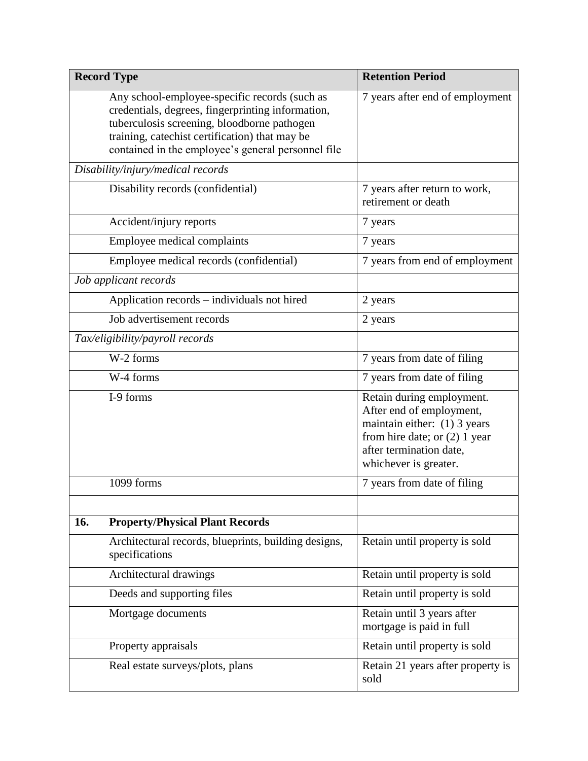|     | <b>Record Type</b>                                                                                                                                                                                                                                        | <b>Retention Period</b>                                                                                                                                                      |
|-----|-----------------------------------------------------------------------------------------------------------------------------------------------------------------------------------------------------------------------------------------------------------|------------------------------------------------------------------------------------------------------------------------------------------------------------------------------|
|     | Any school-employee-specific records (such as<br>credentials, degrees, fingerprinting information,<br>tuberculosis screening, bloodborne pathogen<br>training, catechist certification) that may be<br>contained in the employee's general personnel file | 7 years after end of employment                                                                                                                                              |
|     | Disability/injury/medical records                                                                                                                                                                                                                         |                                                                                                                                                                              |
|     | Disability records (confidential)                                                                                                                                                                                                                         | 7 years after return to work,<br>retirement or death                                                                                                                         |
|     | Accident/injury reports                                                                                                                                                                                                                                   | 7 years                                                                                                                                                                      |
|     | Employee medical complaints                                                                                                                                                                                                                               | 7 years                                                                                                                                                                      |
|     | Employee medical records (confidential)                                                                                                                                                                                                                   | 7 years from end of employment                                                                                                                                               |
|     | Job applicant records                                                                                                                                                                                                                                     |                                                                                                                                                                              |
|     | Application records - individuals not hired                                                                                                                                                                                                               | 2 years                                                                                                                                                                      |
|     | Job advertisement records                                                                                                                                                                                                                                 | 2 years                                                                                                                                                                      |
|     | Tax/eligibility/payroll records                                                                                                                                                                                                                           |                                                                                                                                                                              |
|     | W-2 forms                                                                                                                                                                                                                                                 | 7 years from date of filing                                                                                                                                                  |
|     | W-4 forms                                                                                                                                                                                                                                                 | 7 years from date of filing                                                                                                                                                  |
|     | I-9 forms                                                                                                                                                                                                                                                 | Retain during employment.<br>After end of employment,<br>maintain either: (1) 3 years<br>from hire date; or $(2)$ 1 year<br>after termination date,<br>whichever is greater. |
|     | 1099 forms                                                                                                                                                                                                                                                | 7 years from date of filing                                                                                                                                                  |
| 16. | <b>Property/Physical Plant Records</b>                                                                                                                                                                                                                    |                                                                                                                                                                              |
|     | Architectural records, blueprints, building designs,<br>specifications                                                                                                                                                                                    | Retain until property is sold                                                                                                                                                |
|     | Architectural drawings                                                                                                                                                                                                                                    | Retain until property is sold                                                                                                                                                |
|     | Deeds and supporting files                                                                                                                                                                                                                                | Retain until property is sold                                                                                                                                                |
|     | Mortgage documents                                                                                                                                                                                                                                        | Retain until 3 years after<br>mortgage is paid in full                                                                                                                       |
|     | Property appraisals                                                                                                                                                                                                                                       | Retain until property is sold                                                                                                                                                |
|     | Real estate surveys/plots, plans                                                                                                                                                                                                                          | Retain 21 years after property is<br>sold                                                                                                                                    |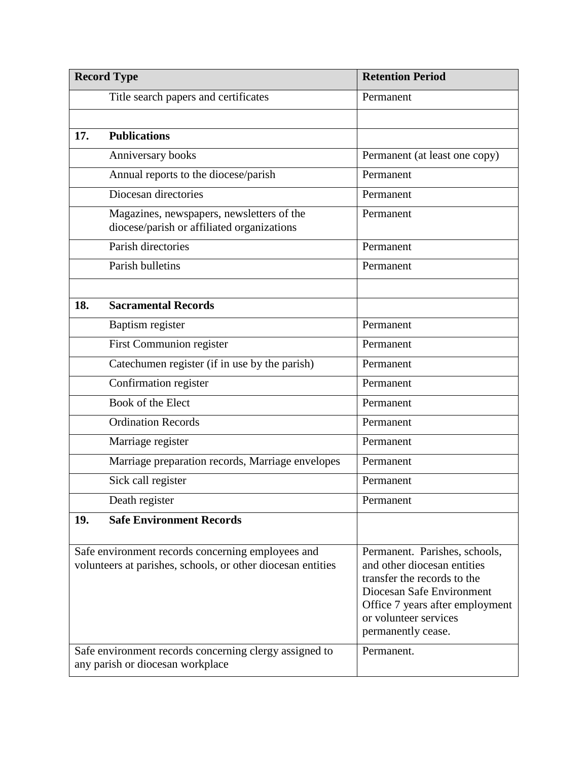| <b>Record Type</b> |                                                                                                                  | <b>Retention Period</b>                                                                                                                                                                                    |
|--------------------|------------------------------------------------------------------------------------------------------------------|------------------------------------------------------------------------------------------------------------------------------------------------------------------------------------------------------------|
|                    | Title search papers and certificates                                                                             | Permanent                                                                                                                                                                                                  |
|                    |                                                                                                                  |                                                                                                                                                                                                            |
| 17.                | <b>Publications</b>                                                                                              |                                                                                                                                                                                                            |
|                    | Anniversary books                                                                                                | Permanent (at least one copy)                                                                                                                                                                              |
|                    | Annual reports to the diocese/parish                                                                             | Permanent                                                                                                                                                                                                  |
|                    | Diocesan directories                                                                                             | Permanent                                                                                                                                                                                                  |
|                    | Magazines, newspapers, newsletters of the<br>diocese/parish or affiliated organizations                          | Permanent                                                                                                                                                                                                  |
|                    | Parish directories                                                                                               | Permanent                                                                                                                                                                                                  |
|                    | Parish bulletins                                                                                                 | Permanent                                                                                                                                                                                                  |
|                    |                                                                                                                  |                                                                                                                                                                                                            |
| 18.                | <b>Sacramental Records</b>                                                                                       |                                                                                                                                                                                                            |
|                    | Baptism register                                                                                                 | Permanent                                                                                                                                                                                                  |
|                    | First Communion register                                                                                         | Permanent                                                                                                                                                                                                  |
|                    | Catechumen register (if in use by the parish)                                                                    | Permanent                                                                                                                                                                                                  |
|                    | Confirmation register                                                                                            | Permanent                                                                                                                                                                                                  |
|                    | Book of the Elect                                                                                                | Permanent                                                                                                                                                                                                  |
|                    | <b>Ordination Records</b>                                                                                        | Permanent                                                                                                                                                                                                  |
|                    | Marriage register                                                                                                | Permanent                                                                                                                                                                                                  |
|                    | Marriage preparation records, Marriage envelopes                                                                 | Permanent                                                                                                                                                                                                  |
|                    | Sick call register                                                                                               | Permanent                                                                                                                                                                                                  |
|                    | Death register                                                                                                   | Permanent                                                                                                                                                                                                  |
| 19.                | <b>Safe Environment Records</b>                                                                                  |                                                                                                                                                                                                            |
|                    | Safe environment records concerning employees and<br>volunteers at parishes, schools, or other diocesan entities | Permanent. Parishes, schools,<br>and other diocesan entities<br>transfer the records to the<br>Diocesan Safe Environment<br>Office 7 years after employment<br>or volunteer services<br>permanently cease. |
|                    | Safe environment records concerning clergy assigned to<br>any parish or diocesan workplace                       | Permanent.                                                                                                                                                                                                 |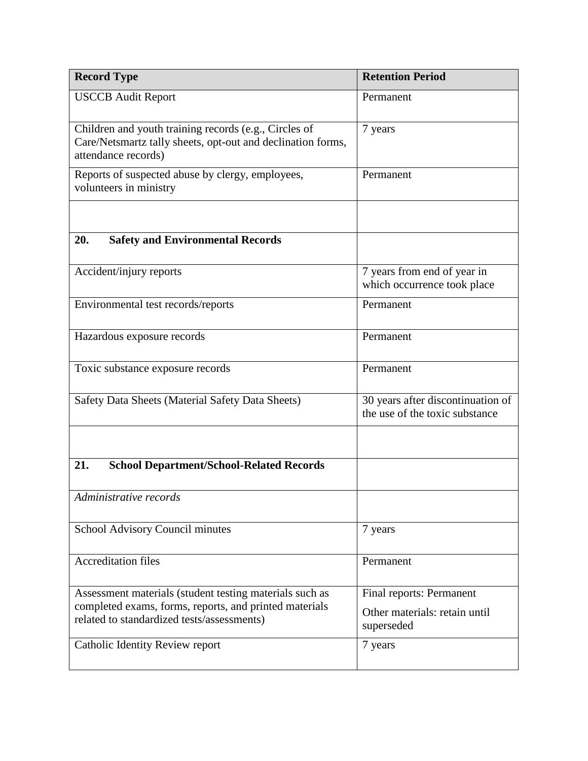| <b>Record Type</b>                                                                                                                          | <b>Retention Period</b>                                             |
|---------------------------------------------------------------------------------------------------------------------------------------------|---------------------------------------------------------------------|
| <b>USCCB</b> Audit Report                                                                                                                   | Permanent                                                           |
| Children and youth training records (e.g., Circles of<br>Care/Netsmartz tally sheets, opt-out and declination forms,<br>attendance records) | 7 years                                                             |
| Reports of suspected abuse by clergy, employees,<br>volunteers in ministry                                                                  | Permanent                                                           |
|                                                                                                                                             |                                                                     |
| <b>Safety and Environmental Records</b><br>20.                                                                                              |                                                                     |
| Accident/injury reports                                                                                                                     | 7 years from end of year in<br>which occurrence took place          |
| Environmental test records/reports                                                                                                          | Permanent                                                           |
| Hazardous exposure records                                                                                                                  | Permanent                                                           |
| Toxic substance exposure records                                                                                                            | Permanent                                                           |
| Safety Data Sheets (Material Safety Data Sheets)                                                                                            | 30 years after discontinuation of<br>the use of the toxic substance |
|                                                                                                                                             |                                                                     |
| 21.<br><b>School Department/School-Related Records</b>                                                                                      |                                                                     |
| Administrative records                                                                                                                      |                                                                     |
| School Advisory Council minutes                                                                                                             | 7 years                                                             |
| <b>Accreditation files</b>                                                                                                                  | Permanent                                                           |
| Assessment materials (student testing materials such as<br>completed exams, forms, reports, and printed materials                           | Final reports: Permanent                                            |
| related to standardized tests/assessments)                                                                                                  | Other materials: retain until<br>superseded                         |
| Catholic Identity Review report                                                                                                             | 7 years                                                             |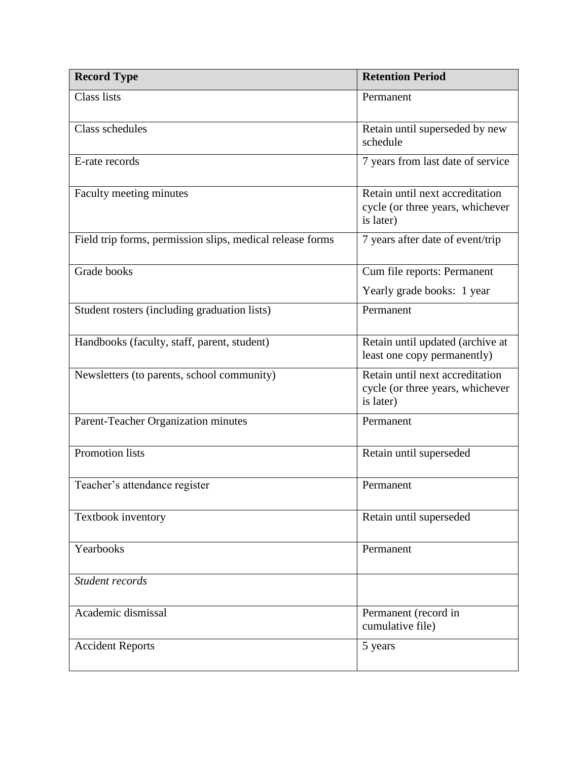| <b>Record Type</b>                                        | <b>Retention Period</b>                                                          |
|-----------------------------------------------------------|----------------------------------------------------------------------------------|
| <b>Class lists</b>                                        | Permanent                                                                        |
| Class schedules                                           | Retain until superseded by new<br>schedule                                       |
| E-rate records                                            | 7 years from last date of service                                                |
| Faculty meeting minutes                                   | Retain until next accreditation<br>cycle (or three years, whichever<br>is later) |
| Field trip forms, permission slips, medical release forms | 7 years after date of event/trip                                                 |
| Grade books                                               | Cum file reports: Permanent                                                      |
|                                                           | Yearly grade books: 1 year                                                       |
| Student rosters (including graduation lists)              | Permanent                                                                        |
| Handbooks (faculty, staff, parent, student)               | Retain until updated (archive at<br>least one copy permanently)                  |
| Newsletters (to parents, school community)                | Retain until next accreditation<br>cycle (or three years, whichever<br>is later) |
| Parent-Teacher Organization minutes                       | Permanent                                                                        |
| Promotion lists                                           | Retain until superseded                                                          |
| Teacher's attendance register                             | Permanent                                                                        |
| Textbook inventory                                        | Retain until superseded                                                          |
| Yearbooks                                                 | Permanent                                                                        |
| Student records                                           |                                                                                  |
| Academic dismissal                                        | Permanent (record in<br>cumulative file)                                         |
| <b>Accident Reports</b>                                   | 5 years                                                                          |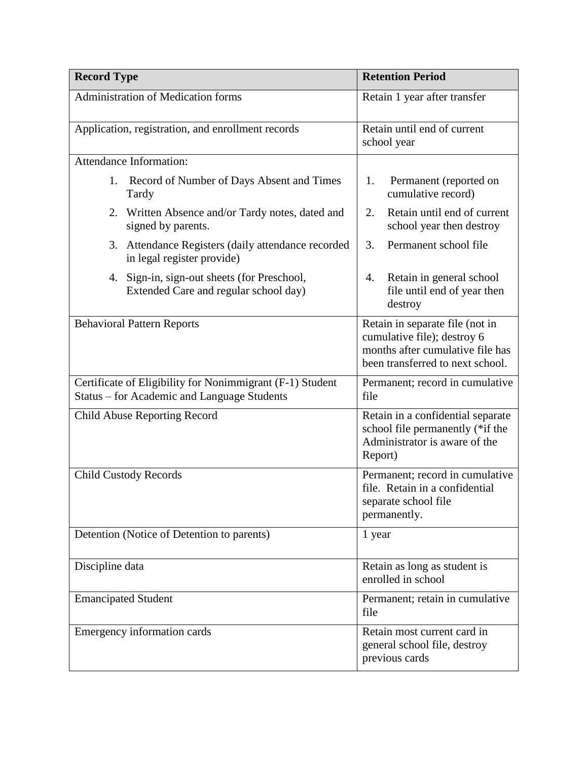| <b>Record Type</b>                                                                                       | <b>Retention Period</b>                                                                                                                |
|----------------------------------------------------------------------------------------------------------|----------------------------------------------------------------------------------------------------------------------------------------|
| Administration of Medication forms                                                                       | Retain 1 year after transfer                                                                                                           |
| Application, registration, and enrollment records                                                        | Retain until end of current<br>school year                                                                                             |
| Attendance Information:                                                                                  |                                                                                                                                        |
| 1. Record of Number of Days Absent and Times<br>Tardy                                                    | Permanent (reported on<br>1.<br>cumulative record)                                                                                     |
| 2. Written Absence and/or Tardy notes, dated and<br>signed by parents.                                   | Retain until end of current<br>2.<br>school year then destroy                                                                          |
| 3. Attendance Registers (daily attendance recorded<br>in legal register provide)                         | 3.<br>Permanent school file                                                                                                            |
| 4. Sign-in, sign-out sheets (for Preschool,<br>Extended Care and regular school day)                     | Retain in general school<br>4.<br>file until end of year then<br>destroy                                                               |
| <b>Behavioral Pattern Reports</b>                                                                        | Retain in separate file (not in<br>cumulative file); destroy 6<br>months after cumulative file has<br>been transferred to next school. |
| Certificate of Eligibility for Nonimmigrant (F-1) Student<br>Status – for Academic and Language Students | Permanent; record in cumulative<br>file                                                                                                |
| Child Abuse Reporting Record                                                                             | Retain in a confidential separate<br>school file permanently (*if the<br>Administrator is aware of the<br>Report)                      |
| <b>Child Custody Records</b>                                                                             | Permanent; record in cumulative<br>file. Retain in a confidential<br>separate school file<br>permanently.                              |
| Detention (Notice of Detention to parents)                                                               | 1 year                                                                                                                                 |
| Discipline data                                                                                          | Retain as long as student is<br>enrolled in school                                                                                     |
| <b>Emancipated Student</b>                                                                               | Permanent; retain in cumulative<br>file                                                                                                |
| Emergency information cards                                                                              | Retain most current card in<br>general school file, destroy<br>previous cards                                                          |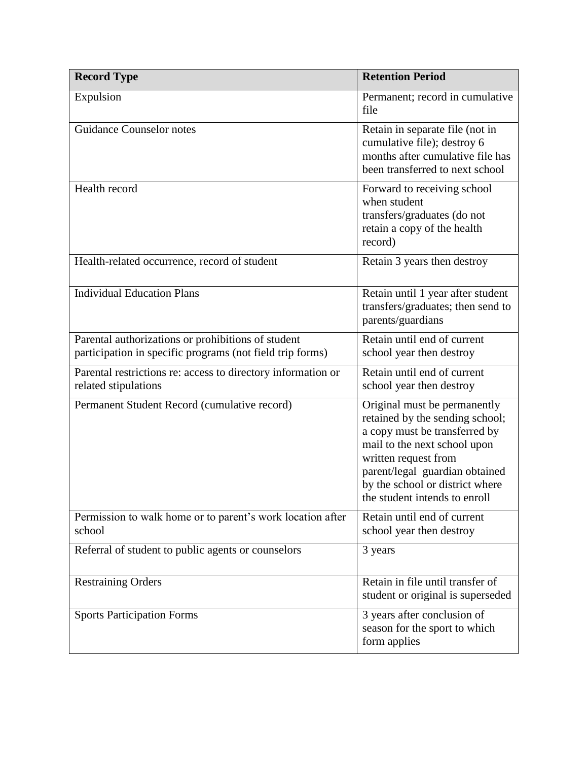| <b>Record Type</b>                                                                                              | <b>Retention Period</b>                                                                                                                                                                                                                                        |
|-----------------------------------------------------------------------------------------------------------------|----------------------------------------------------------------------------------------------------------------------------------------------------------------------------------------------------------------------------------------------------------------|
| Expulsion                                                                                                       | Permanent; record in cumulative<br>file                                                                                                                                                                                                                        |
| <b>Guidance Counselor notes</b>                                                                                 | Retain in separate file (not in<br>cumulative file); destroy 6<br>months after cumulative file has<br>been transferred to next school                                                                                                                          |
| Health record                                                                                                   | Forward to receiving school<br>when student<br>transfers/graduates (do not<br>retain a copy of the health<br>record)                                                                                                                                           |
| Health-related occurrence, record of student                                                                    | Retain 3 years then destroy                                                                                                                                                                                                                                    |
| <b>Individual Education Plans</b>                                                                               | Retain until 1 year after student<br>transfers/graduates; then send to<br>parents/guardians                                                                                                                                                                    |
| Parental authorizations or prohibitions of student<br>participation in specific programs (not field trip forms) | Retain until end of current<br>school year then destroy                                                                                                                                                                                                        |
| Parental restrictions re: access to directory information or<br>related stipulations                            | Retain until end of current<br>school year then destroy                                                                                                                                                                                                        |
| Permanent Student Record (cumulative record)                                                                    | Original must be permanently<br>retained by the sending school;<br>a copy must be transferred by<br>mail to the next school upon<br>written request from<br>parent/legal guardian obtained<br>by the school or district where<br>the student intends to enroll |
| Permission to walk home or to parent's work location after<br>school                                            | Retain until end of current<br>school year then destroy                                                                                                                                                                                                        |
| Referral of student to public agents or counselors                                                              | 3 years                                                                                                                                                                                                                                                        |
| <b>Restraining Orders</b>                                                                                       | Retain in file until transfer of<br>student or original is superseded                                                                                                                                                                                          |
| <b>Sports Participation Forms</b>                                                                               | 3 years after conclusion of<br>season for the sport to which<br>form applies                                                                                                                                                                                   |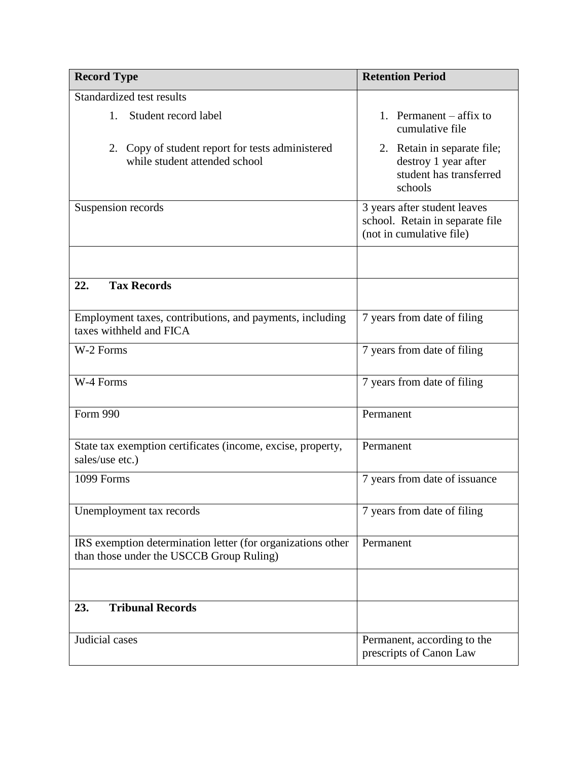| <b>Record Type</b>                                                                                      | <b>Retention Period</b>                                                                     |
|---------------------------------------------------------------------------------------------------------|---------------------------------------------------------------------------------------------|
| Standardized test results                                                                               |                                                                                             |
| 1.<br>Student record label                                                                              | 1. Permanent $-$ affix to<br>cumulative file                                                |
| 2. Copy of student report for tests administered<br>while student attended school                       | 2. Retain in separate file;<br>destroy 1 year after<br>student has transferred<br>schools   |
| Suspension records                                                                                      | 3 years after student leaves<br>school. Retain in separate file<br>(not in cumulative file) |
|                                                                                                         |                                                                                             |
| <b>Tax Records</b><br>22.                                                                               |                                                                                             |
| Employment taxes, contributions, and payments, including<br>taxes withheld and FICA                     | 7 years from date of filing                                                                 |
| W-2 Forms                                                                                               | 7 years from date of filing                                                                 |
| W-4 Forms                                                                                               | 7 years from date of filing                                                                 |
| Form 990                                                                                                | Permanent                                                                                   |
| State tax exemption certificates (income, excise, property,<br>sales/use etc.)                          | Permanent                                                                                   |
| 1099 Forms                                                                                              | 7 years from date of issuance                                                               |
| Unemployment tax records                                                                                | 7 years from date of filing                                                                 |
| IRS exemption determination letter (for organizations other<br>than those under the USCCB Group Ruling) | Permanent                                                                                   |
|                                                                                                         |                                                                                             |
| <b>Tribunal Records</b><br>23.                                                                          |                                                                                             |
| Judicial cases                                                                                          | Permanent, according to the<br>prescripts of Canon Law                                      |